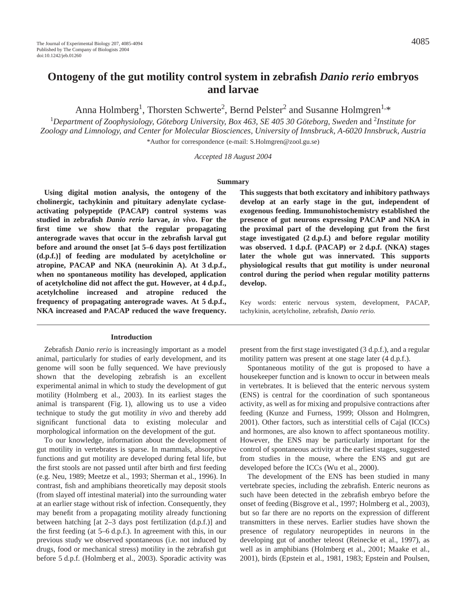Anna Holmberg<sup>1</sup>, Thorsten Schwerte<sup>2</sup>, Bernd Pelster<sup>2</sup> and Susanne Holmgren<sup>1,\*</sup>

<sup>1</sup>Department of Zoophysiology, Göteborg University, Box 463, SE 405 30 Göteborg, Sweden and <sup>2</sup>Institute for *Zoology and Limnology, and Center for Molecular Biosciences, University of Innsbruck, A-6020 Innsbruck, Austria* \*Author for correspondence (e-mail: S.Holmgren@zool.gu.se)

*Accepted 18 August 2004*

#### **Summary**

**Using digital motion analysis, the ontogeny of the cholinergic, tachykinin and pituitary adenylate cyclaseactivating polypeptide (PACAP) control systems was studied in zebrafish** *Danio rerio* **larvae,** *in vivo***. For the first time we show that the regular propagating anterograde waves that occur in the zebrafish larval gut before and around the onset [at 5–6 days post fertilization (d.p.f.)] of feeding are modulated by acetylcholine or** atropine, PACAP and NKA (neurokinin A). At 3 d.p.f., **when no spontaneous motility has developed, application** of acetylcholine did not affect the gut. However, at 4 d.p.f., **acetylcholine increased and atropine reduced the** frequency of propagating anterograde waves. At 5 d.p.f., **NKA increased and PACAP reduced the wave frequency.**

## **Introduction**

Zebrafish *Danio rerio* is increasingly important as a model animal, particularly for studies of early development, and its genome will soon be fully sequenced. We have previously shown that the developing zebrafish is an excellent experimental animal in which to study the development of gut motility (Holmberg et al., 2003). In its earliest stages the animal is transparent (Fig. 1), allowing us to use a video technique to study the gut motility *in vivo* and thereby add significant functional data to existing molecular and morphological information on the development of the gut.

To our knowledge, information about the development of gut motility in vertebrates is sparse. In mammals, absorptive functions and gut motility are developed during fetal life, but the first stools are not passed until after birth and first feeding (e.g. Neu, 1989; Meetze et al., 1993; Sherman et al., 1996). In contrast, fish and amphibians theoretically may deposit stools (from slayed off intestinal material) into the surrounding water at an earlier stage without risk of infection. Consequently, they may benefit from a propagating motility already functioning between hatching [at 2–3 days post fertilization (d.p.f.)] and the first feeding (at  $5-6$  d.p.f.). In agreement with this, in our previous study we observed spontaneous (i.e. not induced by drugs, food or mechanical stress) motility in the zebrafish gut before 5 d.p.f. (Holmberg et al., 2003). Sporadic activity was

**This suggests that both excitatory and inhibitory pathways develop at an early stage in the gut, independent of exogenous feeding. Immunohistochemistry established the presence of gut neurons expressing PACAP and NKA in the proximal part of the developing gut from the first** stage investigated  $(2 d.p.f.)$  and before regular motility **was observed. 1 d.p.f. (PACAP) or 2 d.p.f. (NKA) stages later the whole gut was innervated. This supports physiological results that gut motility is under neuronal control during the period when regular motility patterns develop.**

Key words: enteric nervous system, development, PACAP, tachykinin, acetylcholine, zebrafish, *Danio rerio.*

present from the first stage investigated (3 d.p.f.), and a regular motility pattern was present at one stage later  $(4 d.p.f.).$ 

Spontaneous motility of the gut is proposed to have a housekeeper function and is known to occur in between meals in vertebrates. It is believed that the enteric nervous system (ENS) is central for the coordination of such spontaneous activity, as well as for mixing and propulsive contractions after feeding (Kunze and Furness, 1999; Olsson and Holmgren, 2001). Other factors, such as interstitial cells of Cajal (ICCs) and hormones, are also known to affect spontaneous motility. However, the ENS may be particularly important for the control of spontaneous activity at the earliest stages, suggested from studies in the mouse, where the ENS and gut are developed before the ICCs (Wu et al., 2000).

The development of the ENS has been studied in many vertebrate species, including the zebrafish. Enteric neurons as such have been detected in the zebrafish embryo before the onset of feeding (Bisgrove et al., 1997; Holmberg et al., 2003), but so far there are no reports on the expression of different transmitters in these nerves. Earlier studies have shown the presence of regulatory neuropeptides in neurons in the developing gut of another teleost (Reinecke et al., 1997), as well as in amphibians (Holmberg et al., 2001; Maake et al., 2001), birds (Epstein et al., 1981, 1983; Epstein and Poulsen,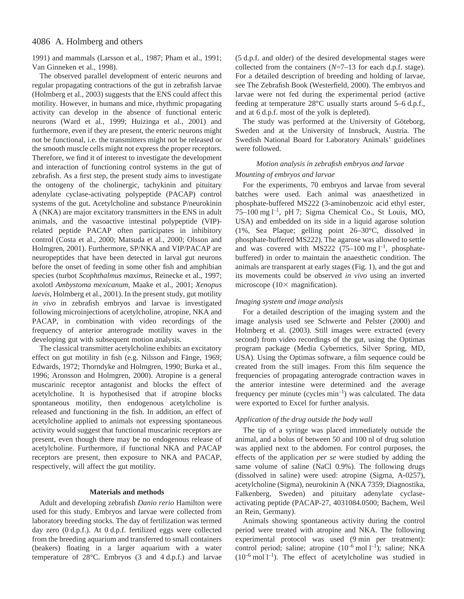1991) and mammals (Larsson et al., 1987; Pham et al., 1991; Van Ginneken et al., 1998).

The observed parallel development of enteric neurons and regular propagating contractions of the gut in zebrafish larvae (Holmberg et al., 2003) suggests that the ENS could affect this motility. However, in humans and mice, rhythmic propagating activity can develop in the absence of functional enteric neurons (Ward et al., 1999; Huizinga et al., 2001) and furthermore, even if they are present, the enteric neurons might not be functional, i.e. the transmitters might not be released or the smooth muscle cells might not express the proper receptors. Therefore, we find it of interest to investigate the development and interaction of functioning control systems in the gut of zebrafish. As a first step, the present study aims to investigate the ontogeny of the cholinergic, tachykinin and pituitary adenylate cyclase-activating polypeptide (PACAP) control systems of the gut. Acetylcholine and substance P/neurokinin A (NKA) are major excitatory transmitters in the ENS in adult animals, and the vasoactive intestinal polypeptide (VIP) related peptide PACAP often participates in inhibitory control (Costa et al., 2000; Matsuda et al., 2000; Olsson and Holmgren, 2001). Furthermore, SP/NKA and VIP/PACAP are neuropeptides that have been detected in larval gut neurons before the onset of feeding in some other fish and amphibian species (turbot *Scophthalmus maximus*, Reinecke et al., 1997; axolotl *Ambystoma mexicanum*, Maake et al., 2001; *Xenopus laevis*, Holmberg et al., 2001). In the present study, gut motility *in vivo* in zebrafish embryos and larvae is investigated following microinjections of acetylcholine, atropine, NKA and PACAP, in combination with video recordings of the frequency of anterior anterograde motility waves in the developing gut with subsequent motion analysis.

The classical transmitter acetylcholine exhibits an excitatory effect on gut motility in fish (e.g. Nilsson and Fänge, 1969; Edwards, 1972; Thorndyke and Holmgren, 1990; Burka et al., 1996; Aronsson and Holmgren, 2000). Atropine is a general muscarinic receptor antagonist and blocks the effect of acetylcholine. It is hypothesised that if atropine blocks spontaneous motility, then endogenous acetylcholine is released and functioning in the fish. In addition, an effect of acetylcholine applied to animals not expressing spontaneous activity would suggest that functional muscarinic receptors are present, even though there may be no endogenous release of acetylcholine. Furthermore, if functional NKA and PACAP receptors are present, then exposure to NKA and PACAP, respectively, will affect the gut motility.

### **Materials and methods**

Adult and developing zebrafish *Danio rerio* Hamilton were used for this study. Embryos and larvae were collected from laboratory breeding stocks. The day of fertilization was termed day zero  $(0 d.p.f.)$ . At  $0 d.p.f.$  fertilized eggs were collected from the breeding aquarium and transferred to small containers (beakers) floating in a larger aquarium with a water temperature of  $28^{\circ}$ C. Embryos (3 and 4 d.p.f.) and larvae

(5 d.p.f. and older) of the desired developmental stages were collected from the containers (*N*=7–13 for each d.p.f. stage). For a detailed description of breeding and holding of larvae, see The Zebrafish Book (Westerfield, 2000). The embryos and larvae were not fed during the experimental period (active feeding at temperature  $28^{\circ}$ C usually starts around 5–6 d.p.f., and at 6 d.p.f. most of the yolk is depleted).

The study was performed at the University of Göteborg, Sweden and at the University of Innsbruck, Austria. The Swedish National Board for Laboratory Animals' guidelines were followed.

# *Motion analysis in zebrafish embryos and larvae Mounting of embryos and larvae*

For the experiments, 70 embryos and larvae from several batches were used. Each animal was anaesthetized in phosphate-buffered MS222 (3-aminobenzoic acid ethyl ester, 75–100 mg l<sup>-1</sup>, pH 7; Sigma Chemical Co., St Louis, MO, USA) and embedded on its side in a liquid agarose solution (1%, Sea Plaque; gelling point 26–30°C, dissolved in phosphate-buffered MS222). The agarose was allowed to settle and was covered with MS222  $(75-100 \text{ mg l}^{-1})$ , phosphatebuffered) in order to maintain the anaesthetic condition. The animals are transparent at early stages (Fig. 1), and the gut and its movements could be observed *in vivo* using an inverted microscope ( $10\times$  magnification).

## *Imaging system and image analysis*

For a detailed description of the imaging system and the image analysis used see Schwerte and Pelster (2000) and Holmberg et al. (2003). Still images were extracted (every second) from video recordings of the gut, using the Optimas program package (Media Cybernetics, Silver Spring, MD, USA). Using the Optimas software, a film sequence could be created from the still images. From this film sequence the frequencies of propagating anterograde contraction waves in the anterior intestine were determined and the average frequency per minute (cycles  $min^{-1}$ ) was calculated. The data were exported to Excel for further analysis.

### *Application of the drug outside the body wall*

The tip of a syringe was placed immediately outside the animal, and a bolus of between 50 and 100 nl of drug solution was applied next to the abdomen. For control purposes, the effects of the application *per se* were studied by adding the same volume of saline (NaCl 0.9%). The following drugs (dissolved in saline) were used: atropine (Sigma, A-0257), acetylcholine (Sigma), neurokinin A (NKA 7359; Diagnostika, Falkenberg, Sweden) and pituitary adenylate cyclaseactivating peptide (PACAP-27, 4031084.0500; Bachem, Weil an Rein, Germany).

Animals showing spontaneous activity during the control period were treated with atropine and NKA. The following experimental protocol was used (9 min per treatment): control period; saline; atropine  $(10^{-6} \text{ mol } l^{-1})$ ; saline; NKA  $(10^{-6} \text{ mol } l^{-1})$ . The effect of acetylcholine was studied in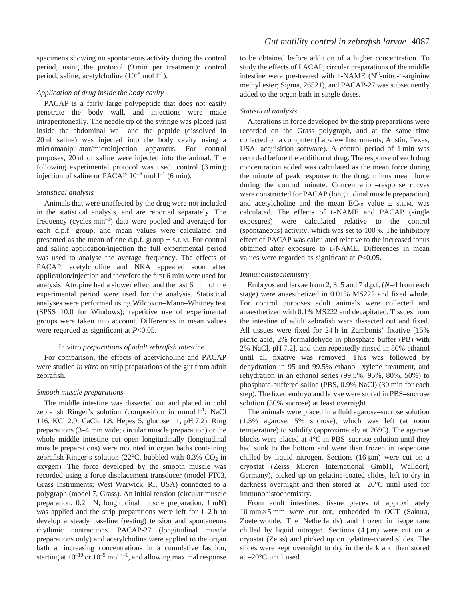specimens showing no spontaneous activity during the control period, using the protocol (9 min per treatment): control period; saline; acetylcholine  $(10^{-5} \text{ mol } l^{-1})$ .

# *Application of drug inside the body cavity*

PACAP is a fairly large polypeptide that does not easily penetrate the body wall, and injections were made intraperitoneally. The needle tip of the syringe was placed just inside the abdominal wall and the peptide (dissolved in 20 nl saline) was injected into the body cavity using a micromanipulator/microinjection apparatus. For control purposes, 20 nl of saline were injected into the animal. The following experimental protocol was used: control  $(3 \text{ min})$ ; injection of saline or PACAP  $10^{-6}$  mol  $l^{-1}$  (6 min).

## *Statistical analysis*

Animals that were unaffected by the drug were not included in the statistical analysis, and are reported separately. The frequency (cycles  $min^{-1}$ ) data were pooled and averaged for each d.p.f. group, and mean values were calculated and presented as the mean of one d.p.f. group  $\pm$  s.e.m. For control and saline application/injection the full experimental period was used to analyse the average frequency. The effects of PACAP, acetylcholine and NKA appeared soon after application/injection and therefore the first 6 min were used for analysis. Atropine had a slower effect and the last 6 min of the experimental period were used for the analysis. Statistical analyses were performed using Wilcoxon–Mann–Whitney test (SPSS 10.0 for Windows); repetitive use of experimental groups were taken into account. Differences in mean values were regarded as significant at *P*<0.05.

#### In vitro *preparations of adult zebrafish intestine*

For comparison, the effects of acetylcholine and PACAP were studied *in vitro* on strip preparations of the gut from adult zebrafish.

#### *Smooth muscle preparations*

The middle intestine was dissected out and placed in cold zebrafish Ringer's solution (composition in mmol  $l^{-1}$ : NaCl 116, KCl 2.9, CaCl<sub>2</sub> 1.8, Hepes 5, glucose 11, pH 7.2). Ring preparations (3-4 mm wide; circular muscle preparation) or the whole middle intestine cut open longitudinally (longitudinal muscle preparations) were mounted in organ baths containing zebrafish Ringer's solution (22 $\degree$ C, bubbled with 0.3% CO<sub>2</sub> in oxygen). The force developed by the smooth muscle was recorded using a force displacement transducer (model FT03, Grass Instruments; West Warwick, RI, USA) connected to a polygraph (model 7, Grass). An initial tension (circular muscle preparation, 0.2 mN; longitudinal muscle preparation, 1 mN) was applied and the strip preparations were left for  $1-2h$  to develop a steady baseline (resting) tension and spontaneous rhythmic contractions. PACAP-27 (longitudinal muscle preparations only) and acetylcholine were applied to the organ bath at increasing concentrations in a cumulative fashion, starting at  $10^{-10}$  or  $10^{-9}$  mol  $1^{-1}$ , and allowing maximal response

to be obtained before addition of a higher concentration. To study the effects of PACAP, circular preparations of the middle intestine were pre-treated with L-NAME  $(N<sup>G</sup>-nitro-L-arginine)$ methyl ester; Sigma, 26521), and PACAP-27 was subsequently added to the organ bath in single doses.

#### *Statistical analysis*

Alterations in force developed by the strip preparations were recorded on the Grass polygraph, and at the same time collected on a computer (Labview Instruments; Austin, Texas, USA; acquisition software). A control period of 1 min was recorded before the addition of drug. The response of each drug concentration added was calculated as the mean force during the minute of peak response to the drug, minus mean force during the control minute. Concentration–response curves were constructed for PACAP (longitudinal muscle preparation) and acetylcholine and the mean  $EC_{50}$  value  $\pm$  s.e.m. was calculated. The effects of L-NAME and PACAP (single exposures) were calculated relative to the control (spontaneous) activity, which was set to 100%. The inhibitory effect of PACAP was calculated relative to the increased tonus obtained after exposure to L-NAME. Differences in mean values were regarded as significant at *P*<0.05.

#### *Immunohistochemistry*

Embryos and larvae from 2, 3, 5 and 7 d.p.f. (*N*=4 from each stage) were anaesthetized in 0.01% MS222 and fixed whole. For control purposes adult animals were collected and anaesthetized with 0.1% MS222 and decapitated. Tissues from the intestine of adult zebrafish were dissected out and fixed. All tissues were fixed for 24 h in Zambonis' fixative [15%] picric acid, 2% formaldehyde in phosphate buffer (PB) with 2% NaCl, pH 7.2], and then repeatedly rinsed in 80% ethanol until all fixative was removed. This was followed by dehydration in 95 and 99.5% ethanol, xylene treatment, and rehydration in an ethanol series (99.5%, 95%, 80%, 50%) to phosphate-buffered saline (PBS, 0.9% NaCl) (30 min for each step). The fixed embryo and larvae were stored in PBS–sucrose solution (30% sucrose) at least overnight.

The animals were placed in a fluid agarose–sucrose solution (1.5% agarose, 5% sucrose), which was left (at room temperature) to solidify (approximately at 26°C). The agarose blocks were placed at 4°C in PBS–sucrose solution until they had sunk to the bottom and were then frozen in isopentane chilled by liquid nitrogen. Sections  $(16 \mu m)$  were cut on a cryostat (Zeiss Micron International GmbH, Walldorf, Germany), picked up on gelatine-coated slides, left to dry in darkness overnight and then stored at –20°C until used for immunohistochemistry.

From adult intestines, tissue pieces of approximately  $10~\text{mm}\times5~\text{mm}$  were cut out, embedded in OCT (Sakura, Zoeterwoude, The Netherlands) and frozen in isopentane chilled by liquid nitrogen. Sections  $(4 \mu m)$  were cut on a cryostat (Zeiss) and picked up on gelatine-coated slides. The slides were kept overnight to dry in the dark and then stored at –20°C until used.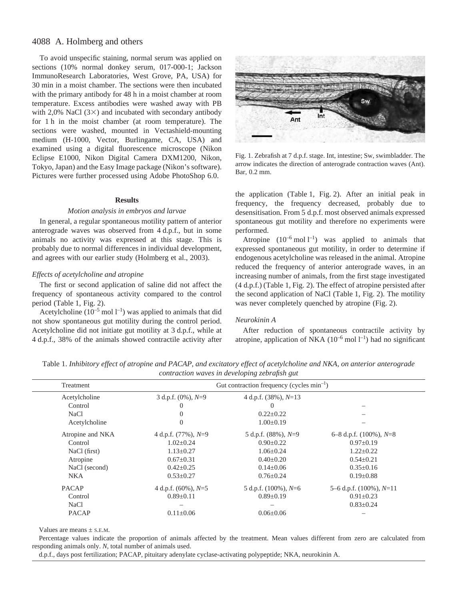To avoid unspecific staining, normal serum was applied on sections (10% normal donkey serum, 017-000-1; Jackson ImmunoResearch Laboratories, West Grove, PA, USA) for 30 min in a moist chamber. The sections were then incubated with the primary antibody for 48 h in a moist chamber at room temperature. Excess antibodies were washed away with PB with 2,0% NaCl  $(3\times)$  and incubated with secondary antibody for 1 h in the moist chamber (at room temperature). The sections were washed, mounted in Vectashield-mounting medium (H-1000, Vector, Burlingame, CA, USA) and examined using a digital fluorescence microscope (Nikon Eclipse E1000, Nikon Digital Camera DXM1200, Nikon, Tokyo, Japan) and the Easy Image package (Nikon's software). Pictures were further processed using Adobe PhotoShop 6.0.

## **Results**

#### *Motion analysis in embryos and larvae*

In general, a regular spontaneous motility pattern of anterior anterograde waves was observed from 4 d.p.f., but in some animals no activity was expressed at this stage. This is probably due to normal differences in individual development, and agrees with our earlier study (Holmberg et al., 2003).

### *Effects of acetylcholine and atropine*

The first or second application of saline did not affect the frequency of spontaneous activity compared to the control period (Table 1, Fig. 2).

Acetylcholine ( $10^{-5}$  mol  $1^{-1}$ ) was applied to animals that did not show spontaneous gut motility during the control period. Acetylcholine did not initiate gut motility at 3 d.p.f., while at 4 d.p.f., 38% of the animals showed contractile activity after



Fig. 1. Zebrafish at 7 d.p.f. stage. Int, intestine; Sw, swimbladder. The arrow indicates the direction of anterograde contraction waves (Ant). Bar, 0.2 mm.

the application (Table 1, Fig. 2). After an initial peak in frequency, the frequency decreased, probably due to desensitisation. From 5 d.p.f. most observed animals expressed spontaneous gut motility and therefore no experiments were performed.

Atropine  $(10^{-6} \text{ mol } l^{-1})$  was applied to animals that expressed spontaneous gut motility, in order to determine if endogenous acetylcholine was released in the animal. Atropine reduced the frequency of anterior anterograde waves, in an increasing number of animals, from the first stage investigated  $(4 d.p.f.)$  (Table 1, Fig. 2). The effect of atropine persisted after the second application of NaCl (Table 1, Fig. 2). The motility was never completely quenched by atropine (Fig. 2).

# *Neurokinin A*

After reduction of spontaneous contractile activity by atropine, application of NKA  $(10^{-6} \text{ mol } l^{-1})$  had no significant

Table 1. *Inhibitory effect of atropine and PACAP, and excitatory effect of acetylcholine and NKA, on anterior anterograde contraction waves in developing zebrafish gut*

| Treatment        | Gut contraction frequency (cycles $min^{-1}$ ) |                            |                               |  |  |
|------------------|------------------------------------------------|----------------------------|-------------------------------|--|--|
| Acetylcholine    | 3 d.p.f. $(0\%)$ , $N=9$                       | 4 d.p.f. $(38\%)$ , $N=13$ |                               |  |  |
| Control          | $\theta$                                       | $\theta$                   |                               |  |  |
| <b>NaCl</b>      | 0                                              | $0.22 \pm 0.22$            |                               |  |  |
| Acetylcholine    | 0                                              | $1.00 \pm 0.19$            |                               |  |  |
| Atropine and NKA | 4 d.p.f. $(77\%)$ , $N=9$                      | 5 d.p.f. $(88\%)$ , $N=9$  | 6–8 d.p.f. $(100\%)$ , $N=8$  |  |  |
| Control          | $1.02 \pm 0.24$                                | $0.90 \pm 0.22$            | $0.97 \pm 0.19$               |  |  |
| NaCl (first)     | $1.13 \pm 0.27$                                | $1.06 \pm 0.24$            | $1.22 \pm 0.22$               |  |  |
| Atropine         | $0.67 \pm 0.31$                                | $0.40 \pm 0.20$            | $0.54 \pm 0.21$               |  |  |
| NaCl (second)    | $0.42 \pm 0.25$                                | $0.14 \pm 0.06$            | $0.35 \pm 0.16$               |  |  |
| <b>NKA</b>       | $0.53 \pm 0.27$                                | $0.76 \pm 0.24$            | $0.19 \pm 0.88$               |  |  |
| <b>PACAP</b>     | 4 d.p.f. $(60\%)$ , $N=5$                      | 5 d.p.f. $(100\%)$ , $N=6$ | 5–6 d.p.f. $(100\%)$ , $N=11$ |  |  |
| Control          | $0.89 \pm 0.11$                                | $0.89 \pm 0.19$            | $0.91 \pm 0.23$               |  |  |
| <b>NaCl</b>      |                                                |                            | $0.83 \pm 0.24$               |  |  |
| <b>PACAP</b>     | $0.11 \pm 0.06$                                | $0.06 \pm 0.06$            |                               |  |  |

Values are means  $\pm$  S.E.M.

Percentage values indicate the proportion of animals affected by the treatment. Mean values different from zero are calculated from responding animals only. *N*, total number of animals used.

d.p.f., days post fertilization; PACAP, pituitary adenylate cyclase-activating polypeptide; NKA, neurokinin A.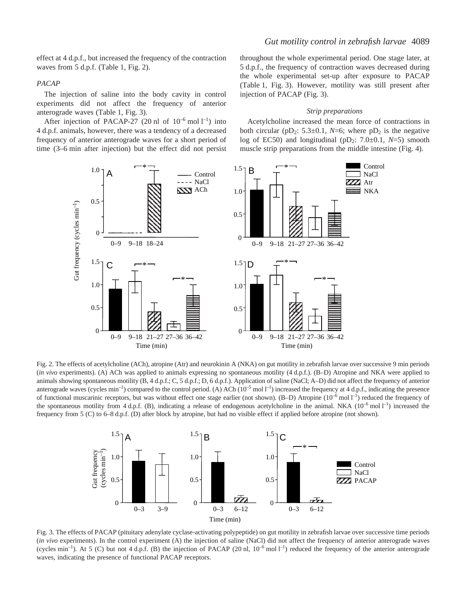## *PACAP*

The injection of saline into the body cavity in control experiments did not affect the frequency of anterior anterograde waves (Table 1, Fig. 3).

After injection of PACAP-27 (20 nl of  $10^{-6}$  mol  $l^{-1}$ ) into 4 d.p.f. animals, however, there was a tendency of a decreased frequency of anterior anterograde waves for a short period of time (3–6 min after injection) but the effect did not persist

throughout the whole experimental period. One stage later, at 5 d.p.f., the frequency of contraction waves decreased during the whole experimental set-up after exposure to PACAP (Table 1, Fig. 3). However, motility was still present after injection of PACAP (Fig. 3).

#### *Strip preparations*

Acetylcholine increased the mean force of contractions in both circular (pD<sub>2</sub>: 5.3 $\pm$ 0.1, *N*=6; where pD<sub>2</sub> is the negative log of EC50) and longitudinal ( $pD_2$ : 7.0 $\pm$ 0.1, *N*=5) smooth muscle strip preparations from the middle intestine (Fig. 4).



Fig. 2. The effects of acetylcholine (ACh), atropine (Atr) and neurokinin A (NKA) on gut motility in zebrafish larvae over successive 9 min periods (*in vivo* experiments). (A) ACh was applied to animals expressing no spontaneous motility (4 d.p.f.). (B–D) Atropine and NKA were applied to animals showing spontaneous motility (B, 4 d.p.f.; C, 5 d.p.f.; D, 6 d.p.f.). Application of saline (NaCl; A–D) did not affect the frequency of anterior anterograde waves (cycles  $min^{-1}$ ) compared to the control period. (A) ACh ( $10^{-5}$  mol  $1^{-1}$ ) increased the frequency at 4 d.p.f., indicating the presence of functional muscarinic receptors, but was without effect one stage earlier (not shown).  $(B-D)$  Atropine  $(10^{-6} \text{ mol } l^{-1})$  reduced the frequency of the spontaneous motility from 4 d.p.f. (B), indicating a release of endogenous acetylcholine in the animal. NKA  $(10^{-6} \text{ mol } l^{-1})$  increased the frequency from 5 (C) to 6–8 d.p.f. (D) after block by atropine, but had no visible effect if applied before atropine (not shown).



Fig. 3. The effects of PACAP (pituitary adenylate cyclase-activating polypeptide) on gut motility in zebrafish larvae over successive time periods (*in vivo* experiments). In the control experiment (A) the injection of saline (NaCl) did not affect the frequency of anterior anterograde waves (cycles min<sup>-1</sup>). At 5 (C) but not 4 d.p.f. (B) the injection of PACAP (20 nl,  $10^{-6}$  mol  $1^{-1}$ ) reduced the frequency of the anterior anterograde waves, indicating the presence of functional PACAP receptors.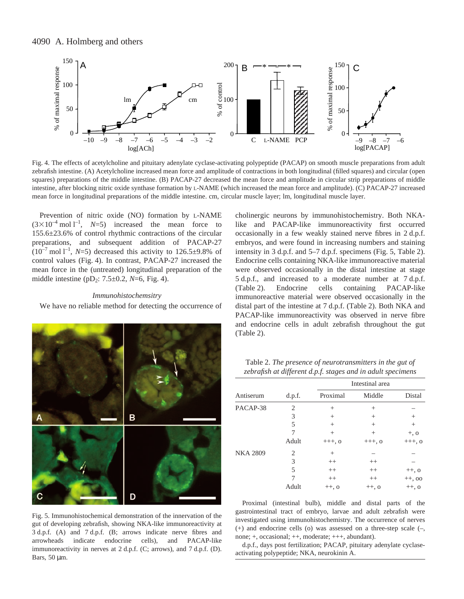

Fig. 4. The effects of acetylcholine and pituitary adenylate cyclase-activating polypeptide (PACAP) on smooth muscle preparations from adult zebrafish intestine. (A) Acetylcholine increased mean force and amplitude of contractions in both longitudinal (filled squares) and circular (open squares) preparations of the middle intestine. (B) PACAP-27 decreased the mean force and amplitude in circular strip preparations of middle intestine, after blocking nitric oxide synthase formation by L-NAME (which increased the mean force and amplitude). (C) PACAP-27 increased mean force in longitudinal preparations of the middle intestine. cm, circular muscle layer; lm, longitudinal muscle layer.

Prevention of nitric oxide (NO) formation by L-NAME  $(3 \times 10^{-4} \text{ mol l}^{-1}, \quad N=5)$  increased the mean force to 155.6±23.6% of control rhythmic contractions of the circular preparations, and subsequent addition of PACAP-27  $(10^{-7} \text{ mol } l^{-1}, N=5)$  decreased this activity to  $126.5 \pm 9.8\%$  of control values (Fig. 4). In contrast, PACAP-27 increased the mean force in the (untreated) longitudinal preparation of the middle intestine ( $pD_2$ : 7.5 $\pm$ 0.2, *N*=6, Fig. 4).

## *Immunohistochemsitry*

We have no reliable method for detecting the occurrence of



Fig. 5. Immunohistochemical demonstration of the innervation of the gut of developing zebrafish, showing NKA-like immunoreactivity at 3 d.p.f. (A) and 7 d.p.f. (B; arrows indicate nerve fibres and arrowheads indicate endocrine cells), and PACAP-like immunoreactivity in nerves at 2 d.p.f. (C; arrows), and 7 d.p.f. (D). Bars, 50 um.

cholinergic neurons by immunohistochemistry. Both NKAlike and PACAP-like immunoreactivity first occurred occasionally in a few weakly stained nerve fibres in 2 d.p.f. embryos, and were found in increasing numbers and staining intensity in  $3$  d.p.f. and  $5-7$  d.p.f. specimens (Fig. 5, Table 2). Endocrine cells containing NKA-like immunoreactive material were observed occasionally in the distal intestine at stage 5 d.p.f., and increased to a moderate number at 7 d.p.f. (Table·2). Endocrine cells containing PACAP-like immunoreactive material were observed occasionally in the distal part of the intestine at 7 d.p.f. (Table 2). Both NKA and PACAP-like immunoreactivity was observed in nerve fibre and endocrine cells in adult zebrafish throughout the gut  $(Table 2)$ .

Table 2. *The presence of neurotransmitters in the gut of zebrafish at different d.p.f. stages and in adult specimens*

|                 |                | Intestinal area |          |          |
|-----------------|----------------|-----------------|----------|----------|
| Antiserum       | d.p.f.         | Proximal        | Middle   | Distal   |
| PACAP-38        | $\mathfrak{D}$ | $^{+}$          | $^{+}$   |          |
|                 | 3              | $^{+}$          | $^{+}$   | $^{+}$   |
|                 | 5              | $^{+}$          | $^{+}$   | $^{+}$   |
|                 |                | $^{+}$          | $^{+}$   | $+, 0$   |
|                 | Adult          | $++$ , 0        | $+++, 0$ | $+++, 0$ |
| <b>NKA 2809</b> | 2              | $^{+}$          |          |          |
|                 | 3              | $^{++}$         | $^{++}$  |          |
|                 | 5              | $^{++}$         | $^{++}$  | $++, o$  |
|                 |                | $^{++}$         | $^{++}$  | $++, 00$ |
|                 | Adult          | $++, o$         | $++, o$  | $++, o$  |

Proximal (intestinal bulb), middle and distal parts of the gastrointestinal tract of embryo, larvae and adult zebrafish were investigated using immunohistochemistry. The occurrence of nerves (+) and endocrine cells (o) was assessed on a three-step scale (–, none; +, occasional; ++, moderate; +++, abundant).

d.p.f., days post fertilization; PACAP, pituitary adenylate cyclaseactivating polypeptide; NKA, neurokinin A.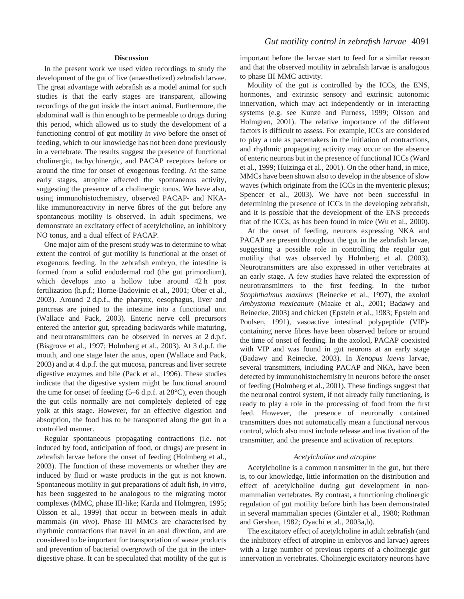# **Discussion**

In the present work we used video recordings to study the development of the gut of live (anaesthetized) zebrafish larvae. The great advantage with zebrafish as a model animal for such studies is that the early stages are transparent, allowing recordings of the gut inside the intact animal. Furthermore, the abdominal wall is thin enough to be permeable to drugs during this period, which allowed us to study the development of a functioning control of gut motility *in vivo* before the onset of feeding, which to our knowledge has not been done previously in a vertebrate. The results suggest the presence of functional cholinergic, tachychinergic, and PACAP receptors before or around the time for onset of exogenous feeding. At the same early stages, atropine affected the spontaneous activity, suggesting the presence of a cholinergic tonus. We have also, using immunohistochemistry, observed PACAP- and NKAlike immunoreactivity in nerve fibres of the gut before any spontaneous motility is observed. In adult specimens, we demonstrate an excitatory effect of acetylcholine, an inhibitory NO tonus, and a dual effect of PACAP.

One major aim of the present study was to determine to what extent the control of gut motility is functional at the onset of exogenous feeding. In the zebrafish embryo, the intestine is formed from a solid endodermal rod (the gut primordium), which develops into a hollow tube around  $42 h$  post fertilization (h.p.f.; Horne-Badovinic et al., 2001; Ober et al., 2003). Around 2 d.p.f., the pharynx, oesophagus, liver and pancreas are joined to the intestine into a functional unit (Wallace and Pack, 2003). Enteric nerve cell precursors entered the anterior gut, spreading backwards while maturing, and neurotransmitters can be observed in nerves at  $2 d.p.f.$ (Bisgrove et al., 1997; Holmberg et al., 2003). At  $3 d.p.f.$  the mouth, and one stage later the anus, open (Wallace and Pack, 2003) and at 4 d.p.f. the gut mucosa, pancreas and liver secrete digestive enzymes and bile (Pack et al., 1996). These studies indicate that the digestive system might be functional around the time for onset of feeding  $(5–6 d.p.f. at 28°C)$ , even though the gut cells normally are not completely depleted of egg yolk at this stage. However, for an effective digestion and absorption, the food has to be transported along the gut in a controlled manner.

Regular spontaneous propagating contractions (i.e. not induced by food, anticipation of food, or drugs) are present in zebrafish larvae before the onset of feeding (Holmberg et al., 2003). The function of these movements or whether they are induced by fluid or waste products in the gut is not known. Spontaneous motility in gut preparations of adult fish, *in vitro,* has been suggested to be analogous to the migrating motor complexes (MMC, phase III-like; Karila and Holmgren, 1995; Olsson et al., 1999) that occur in between meals in adult mammals (*in vivo*). Phase III MMCs are characterised by rhythmic contractions that travel in an anal direction, and are considered to be important for transportation of waste products and prevention of bacterial overgrowth of the gut in the interdigestive phase. It can be speculated that motility of the gut is important before the larvae start to feed for a similar reason and that the observed motility in zebrafish larvae is analogous to phase III MMC activity.

Motility of the gut is controlled by the ICCs, the ENS, hormones, and extrinsic sensory and extrinsic autonomic innervation, which may act independently or in interacting systems (e.g. see Kunze and Furness, 1999; Olsson and Holmgren, 2001). The relative importance of the different factors is difficult to assess. For example, ICCs are considered to play a role as pacemakers in the initiation of contractions, and rhythmic propagating activity may occur on the absence of enteric neurons but in the presence of functional ICCs (Ward et al., 1999; Huizinga et al., 2001). On the other hand, in mice, MMCs have been shown also to develop in the absence of slow waves (which originate from the ICCs in the myenteric plexus; Spencer et al., 2003). We have not been successful in determining the presence of ICCs in the developing zebrafish, and it is possible that the development of the ENS preceeds that of the ICCs, as has been found in mice (Wu et al., 2000).

At the onset of feeding, neurons expressing NKA and PACAP are present throughout the gut in the zebrafish larvae, suggesting a possible role in controlling the regular gut motility that was observed by Holmberg et al. (2003). Neurotransmitters are also expressed in other vertebrates at an early stage. A few studies have related the expression of neurotransmitters to the first feeding. In the turbot *Scophthalmus maximus* (Reinecke et al., 1997), the axolotl *Ambystoma mexicanum* (Maake et al., 2001; Badawy and Reinecke, 2003) and chicken (Epstein et al., 1983; Epstein and Poulsen, 1991), vasoactive intestinal polypeptide (VIP) containing nerve fibres have been observed before or around the time of onset of feeding. In the axolotl, PACAP coexisted with VIP and was found in gut neurons at an early stage (Badawy and Reinecke, 2003). In *Xenopus laevis* larvae, several transmitters, including PACAP and NKA, have been detected by immunohistochemistry in neurons before the onset of feeding (Holmberg et al., 2001). These findings suggest that the neuronal control system, if not already fully functioning, is ready to play a role in the processing of food from the first feed. However, the presence of neuronally contained transmitters does not automatically mean a functional nervous control, which also must include release and inactivation of the transmitter, and the presence and activation of receptors.

#### *Acetylcholine and atropine*

Acetylcholine is a common transmitter in the gut, but there is, to our knowledge, little information on the distribution and effect of acetylcholine during gut development in nonmammalian vertebrates. By contrast, a functioning cholinergic regulation of gut motility before birth has been demonstrated in several mammalian species (Gintzler et al., 1980; Rothman and Gershon, 1982; Oyachi et al., 2003a,b).

The excitatory effect of acetylcholine in adult zebrafish (and the inhibitory effect of atropine in embryos and larvae) agrees with a large number of previous reports of a cholinergic gut innervation in vertebrates. Cholinergic excitatory neurons have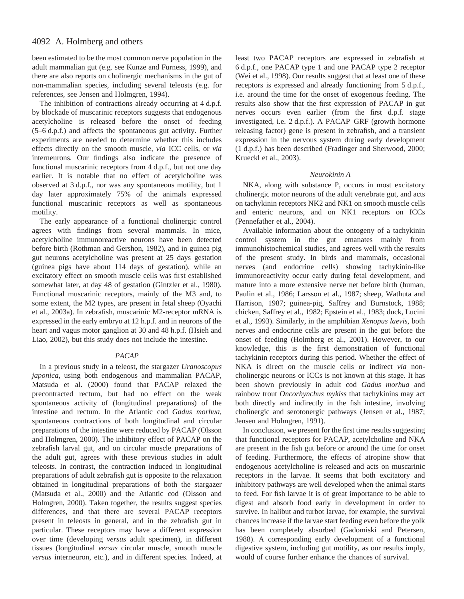been estimated to be the most common nerve population in the adult mammalian gut (e.g. see Kunze and Furness, 1999), and there are also reports on cholinergic mechanisms in the gut of non-mammalian species, including several teleosts (e.g. for references, see Jensen and Holmgren, 1994).

The inhibition of contractions already occurring at  $4 d.p.f.$ by blockade of muscarinic receptors suggests that endogenous acetylcholine is released before the onset of feeding  $(5–6 d.p.f.)$  and affects the spontaneous gut activity. Further experiments are needed to determine whether this includes effects directly on the smooth muscle, *via* ICC cells, or *via* interneurons. Our findings also indicate the presence of functional muscarinic receptors from 4 d.p.f., but not one day earlier. It is notable that no effect of acetylcholine was observed at 3 d.p.f., nor was any spontaneous motility, but 1 day later approximately 75% of the animals expressed functional muscarinic receptors as well as spontaneous motility.

The early appearance of a functional cholinergic control agrees with findings from several mammals. In mice, acetylcholine immunoreactive neurons have been detected before birth (Rothman and Gershon, 1982), and in guinea pig gut neurons acetylcholine was present at 25 days gestation (guinea pigs have about 114 days of gestation), while an excitatory effect on smooth muscle cells was first established somewhat later, at day 48 of gestation (Gintzler et al., 1980). Functional muscarinic receptors, mainly of the M3 and, to some extent, the M2 types, are present in fetal sheep (Oyachi et al., 2003a). In zebrafish, muscarinic M2-receptor mRNA is expressed in the early embryo at 12 h.p.f. and in neurons of the heart and vagus motor ganglion at 30 and 48 h.p.f. (Hsieh and Liao, 2002), but this study does not include the intestine.

# *PACAP*

In a previous study in a teleost, the stargazer *Uranoscopus japonica,* using both endogenous and mammalian PACAP, Matsuda et al. (2000) found that PACAP relaxed the precontracted rectum, but had no effect on the weak spontaneous activity of (longitudinal preparations) of the intestine and rectum. In the Atlantic cod *Gadus morhua,* spontaneous contractions of both longitudinal and circular preparations of the intestine were reduced by PACAP (Olsson and Holmgren, 2000). The inhibitory effect of PACAP on the zebrafish larval gut, and on circular muscle preparations of the adult gut, agrees with these previous studies in adult teleosts. In contrast, the contraction induced in longitudinal preparations of adult zebrafish gut is opposite to the relaxation obtained in longitudinal preparations of both the stargazer (Matsuda et al., 2000) and the Atlantic cod (Olsson and Holmgren, 2000). Taken together, the results suggest species differences, and that there are several PACAP receptors present in teleosts in general, and in the zebrafish gut in particular. These receptors may have a different expression over time (developing *versus* adult specimen), in different tissues (longitudinal *versus* circular muscle, smooth muscle *versus* interneuron, etc.), and in different species. Indeed, at least two PACAP receptors are expressed in zebrafish at 6·d.p.f., one PACAP type 1 and one PACAP type 2 receptor (Wei et al., 1998). Our results suggest that at least one of these receptors is expressed and already functioning from 5 d.p.f., i.e. around the time for the onset of exogenous feeding. The results also show that the first expression of PACAP in gut nerves occurs even earlier (from the first d.p.f. stage investigated, i.e. 2 d.p.f.). A PACAP–GRF (growth hormone releasing factor) gene is present in zebrafish, and a transient expression in the nervous system during early development (1 d.p.f.) has been described (Fradinger and Sherwood, 2000; Krueckl et al., 2003).

# *Neurokinin A*

NKA, along with substance P, occurs in most excitatory cholinergic motor neurons of the adult vertebrate gut, and acts on tachykinin receptors NK2 and NK1 on smooth muscle cells and enteric neurons, and on NK1 receptors on ICCs (Pennefather et al., 2004).

Available information about the ontogeny of a tachykinin control system in the gut emanates mainly from immunohistochemical studies, and agrees well with the results of the present study. In birds and mammals, occasional nerves (and endocrine cells) showing tachykinin-like immunoreactivity occur early during fetal development, and mature into a more extensive nerve net before birth (human, Paulin et al., 1986; Larsson et al., 1987; sheep, Wathuta and Harrison, 1987; guinea-pig, Saffrey and Burnstock, 1988; chicken, Saffrey et al., 1982; Epstein et al., 1983; duck, Lucini et al., 1993). Similarly, in the amphibian *Xenopus laevis,* both nerves and endocrine cells are present in the gut before the onset of feeding (Holmberg et al., 2001). However, to our knowledge, this is the first demonstration of functional tachykinin receptors during this period. Whether the effect of NKA is direct on the muscle cells or indirect *via* noncholinergic neurons or ICCs is not known at this stage. It has been shown previously in adult cod *Gadus morhua* and rainbow trout *Oncorhynchus mykiss* that tachykinins may act both directly and indirectly in the fish intestine, involving cholinergic and serotonergic pathways (Jensen et al., 1987; Jensen and Holmgren, 1991).

In conclusion, we present for the first time results suggesting that functional receptors for PACAP, acetylcholine and NKA are present in the fish gut before or around the time for onset of feeding. Furthermore, the effects of atropine show that endogenous acetylcholine is released and acts on muscarinic receptors in the larvae. It seems that both excitatory and inhibitory pathways are well developed when the animal starts to feed. For fish larvae it is of great importance to be able to digest and absorb food early in development in order to survive. In halibut and turbot larvae, for example, the survival chances increase if the larvae start feeding even before the yolk has been completely absorbed (Gadomiski and Petersen, 1988). A corresponding early development of a functional digestive system, including gut motility, as our results imply, would of course further enhance the chances of survival.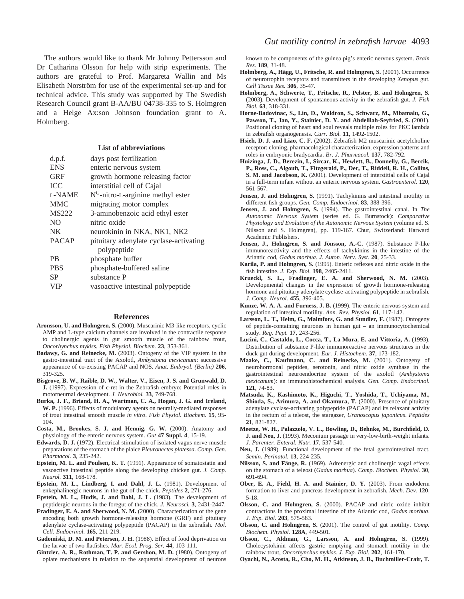The authors would like to thank Mr Johnny Pettersson and Dr Catharina Olsson for help with strip experiments. The authors are grateful to Prof. Margareta Wallin and Ms Elisabeth Norström for use of the experimental set-up and for technical advice. This study was supported by The Swedish Research Council grant B-AA/BU 04738-335 to S. Holmgren and a Helge Ax:son Johnson foundation grant to A. Holmberg.

## **List of abbreviations**

| d.p.f.         | days post fertilization                |
|----------------|----------------------------------------|
| <b>ENS</b>     | enteric nervous system                 |
| <b>GRF</b>     | growth hormone releasing factor        |
| <b>ICC</b>     | interstitial cell of Cajal             |
| L-NAME         | $NG$ -nitro-L-arginine methyl ester    |
| <b>MMC</b>     | migrating motor complex                |
| <b>MS222</b>   | 3-aminobenzoic acid ethyl ester        |
| N <sub>O</sub> | nitric oxide                           |
| <b>NK</b>      | neurokinin in NKA, NK1, NK2            |
| <b>PACAP</b>   | pituitary adenylate cyclase-activating |
|                | polypeptide                            |
| <b>PB</b>      | phosphate buffer                       |
| <b>PBS</b>     | phosphate-buffered saline              |
| <b>SP</b>      | substance P                            |
| VIP            | vasoactive intestinal polypeptide      |

#### **References**

- **Aronsson, U. and Holmgren, S.** (2000). Muscarinic M3-like receptors, cyclic AMP and L-type calcium channels are involved in the contractile response to cholinergic agents in gut smooth muscle of the rainbow trout, *Oncorhynchus mykiss. Fish Physiol. Biochem.* **23**, 353-361.
- **Badawy, G. and Reinecke, M.** (2003). Ontogeny of the VIP system in the gastro-intestinal tract of the Axolotl, *Ambystoma mexicanum*: successive appearance of co-existing PACAP and NOS*. Anat. Embryol. (Berlin)* **206**, 319-325.
- **Bisgrove, B. W., Raible, D. W., Walter, V., Eisen, J. S. and Grunwald, D. J.** (1997). Expression of c-ret in the Zebrafish embryo: Potential roles in motorneurnal development. *J. Neurobiol.* **33**, 749-768.
- **Burka, J. F., Briand, H. A., Wartman, C. A., Hogan, J. G. and Ireland, W. P.** (1996). Effects of modulatory agents on neurally-mediated responses of trout intestinal smooth muscle *in vitro*. *Fish Physiol. Biochem.* **15**, 95- 104.
- **Costa, M., Brookes, S. J. and Hennig, G. W.** (2000). Anatomy and physiology of the enteric nervous system. *Gut* **47 Suppl. 4**, 15-19.
- **Edwards, D. J.** (1972). Electrical stimulation of isolated vagus nerve-muscle preparations of the stomach of the plaice *Pleuronectes platessa*. *Comp. Gen. Pharmacol*. **3**, 235-242.
- **Epstein, M. L. and Poulsen, K. T.** (1991). Appearance of somatostatin and vasoactive intestinal peptide along the developing chicken gut. *J. Comp. Neurol.* **311**, 168-178.
- **Epstein, M. L., Lindberg, I. and Dahl, J. L.** (1981). Development of enkephalinergic neurons in the gut of the chick. *Peptides* **2**, 271-276.
- **Epstein, M. L., Hudis, J. and Dahl, J. L.** (1983). The development of peptidergic neurons in the foregut of the chick. *J. Neurosci.* **3**, 2431-2447.
- Fradinger, E. A. and Sherwood, N. M. (2000). Characterization of the gene encoding both growth hormone-releasing hormone (GRF) and pituitary adenylate cyclase-activating polypeptide (PACAP) in the zebrafish. *Mol. Cell. Endocrinol*. **165**, 211-219.
- **Gadomiski, D. M. and Petersen, J. H.** (1988). Effect of food deprivation on the larvae of two flatfishes. *Mar. Ecol. Prog. Ser.* **44**, 103-111.
- Gintzler, A. R., Rothman, T. P. and Gershon, M. D. (1980). Ontogeny of opiate mechanisms in relation to the sequential development of neurons

known to be components of the guinea pig's enteric nervous system. *Brain Res.* **189**, 31-48.

- Holmberg, A., Hägg, U., Fritsche, R. and Holmgren, S. (2001). Occurrence of neurotrophin receptors and transmitters in the developing *Xenopus* gut. *Cell Tissue Res.* **306**, 35-47.
- **Holmberg, A., Schwerte, T., Fritsche, R., Pelster, B. and Holmgren, S.** (2003). Development of spontaneous activity in the zebrafish gut. *J. Fish Biol.* **63**, 318-331.
- **Horne-Badovinac, S., Lin, D., Waldron, S., Schwarz, M., Mbamalu, G.,** Pawson, T., Jan, Y., Stainier, D. Y. and Abdelilah-Seyfried, S. (2001). Positional cloning of heart and soul reveals multiple roles for PKC lambda in zebrafish organogenesis. *Curr. Biol.* **11**, 1492-1502.
- Hsieh, D. J. and Liao, C. F. (2002). Zebrafish M2 muscarinic acetylcholine receptor: cloning, pharmacological characterization, expression patterns and roles in embryonic bradycardia. *Br*. *J. Pharmacol.* **137**, 782-792.
- **Huizinga, J. D., Berezin, I., Sircar, K., Hewlett, B., Donnelly, G., Bercik, P., Ross, C., Algoufi, T., Fitzgerald, P., Der, T., Riddell, R. H., Collins, S. M. and Jacobson, K.** (2001). Development of interstitial cells of Cajal in a full-term infant without an enteric nervous system. *Gastroenterol.* **120**, 561-567.
- Jensen, J. and Holmgren, S. (1991). Tachykinins and intestinal motility in different fish groups. *Gen. Comp. Endocrinol*. **83**, 388-396.
- **Jensen, J. and Holmgren, S.** (1994). The gastrointestinal canal. In *The Autonomic Nervous System* (series ed. G. Burnstock): *Comparative Physiology and Evolution of the Autonomic Nervous System* (volume ed. S. Nilsson and S. Holmgren), pp. 119-167. Chur, Switzerland: Harward Academic Publishers.
- **Jensen, J., Holmgren, S. and Jönsson, A.-C.** (1987). Substance P-like immunoreactivity and the effects of tachykinins in the intestine of the Atlantic cod, *Gadus morhua*. *J. Auton. Nerv. Syst.* **20**, 25-33.
- **Karila, P. and Holmgren, S.** (1995). Enteric reflexes and nitric oxide in the fish intestine. *J. Exp. Biol.* **198**, 2405-2411.
- **Krueckl, S. L., Fradinger, E. A. and Sherwood, N. M.** (2003). Developmental changes in the expression of growth hormone-releasing hormone and pituitary adenylate cyclase-activating polypeptide in zebrafish. *J. Comp. Neurol.* **455**, 396-405.
- **Kunze, W. A. A. and Furness, J. B.** (1999). The enteric nervous system and regulation of intestinal motility. *Ann. Rev. Physiol.* **61**, 117-142.
- Larsson, L. T., Helm, G., Malmfors, G. and Sundler, F. (1987). Ontogeny of peptide-containing neurones in human gut – an immunocytochemical study. *Reg. Pept.* **17**, 243-256.
- **Lucini, C., Castaldo, L., Cocca, T., La Mura, E. and Vittoria, A.** (1993). Distribution of substance P-like immunoreactive nervous structures in the duck gut during development. *Eur. J. Histochem.* **37**, 173-182.
- **Maake, C., Kaufmann, C. and Reinecke, M.** (2001). Ontogeny of neurohormonal peptides, serotonin, and nitric oxide synthase in the gastrointestinal neuroendocrine system of the axolotl (*Ambystoma mexicanum*): an immunohistochemical analysis. *Gen. Comp. Endocrinol.* **121**, 74-83.
- **Matsuda, K., Kashimoto, K., Higuchi, T., Yoshida, T., Uchiyama, M., Shioda, S., Arimura, A. and Okamura, T.** (2000). Presence of pituitary adenylate cyclase-activating polypeptide (PACAP) and its relaxant activity in the rectum of a teleost, the stargazer, *Uranoscopus japonicus*. *Peptides* **21**, 821-827.
- **Meetze, W. H., Palazzolo, V. L., Bowling, D., Behnke, M., Burchfield, D. J. and Neu, J.** (1993). Meconium passage in very-low-birth-weight infants. *J. Parenter. Enteral. Nutr.* **17**, 537-540.
- **Neu, J.** (1989). Functional development of the fetal gastrointestinal tract. *Semin. Perinatol.* **13**, 224-235.
- **Nilsson, S. and Fänge, R.** (1969). Adrenergic and cholinergic vagal effects on the stomach of a teleost (*Gadus morhua*). *Comp. Biochem. Physiol.* **30**, 691-694.
- **Ober, E. A., Field, H. A. and Stainier, D. Y.** (2003). From endoderm formation to liver and pancreas development in zebrafish. *Mech. Dev.* **120**, 5-18.
- **Olsson, C. and Holmgren, S.** (2000). PACAP and nitric oxide inhibit contractions in the proximal intestine of the Atlantic cod, *Gadus morhua*. *J. Exp. Biol.* **203**, 575-583.
- **Olsson, C. and Holmgren, S.** (2001). The control of gut motility. *Comp. Biochem. Physiol.* **128A**, 449-501.
- **Olsson, C., Aldman, G., Larsson, A. and Holmgren, S.** (1999). Cholecystokinin affects gastric emptying and stomach motility in the rainbow trout, *Oncorhynchus mykiss. J. Exp. Biol.* **202**, 161-170.
- **Oyachi, N., Acosta, R., Cho, M. H., Atkinson, J. B., Buchmiller-Crair, T.**